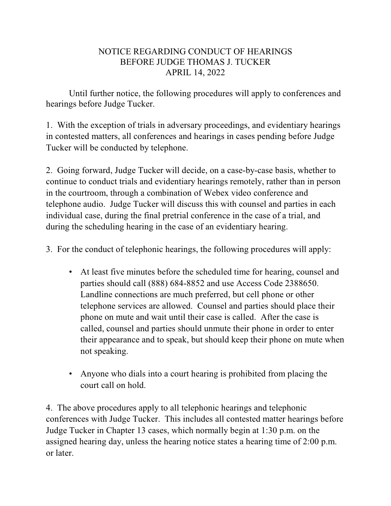## NOTICE REGARDING CONDUCT OF HEARINGS BEFORE JUDGE THOMAS J. TUCKER APRIL 14, 2022

Until further notice, the following procedures will apply to conferences and hearings before Judge Tucker.

1. With the exception of trials in adversary proceedings, and evidentiary hearings in contested matters, all conferences and hearings in cases pending before Judge Tucker will be conducted by telephone.

2. Going forward, Judge Tucker will decide, on a case-by-case basis, whether to continue to conduct trials and evidentiary hearings remotely, rather than in person in the courtroom, through a combination of Webex video conference and telephone audio. Judge Tucker will discuss this with counsel and parties in each individual case, during the final pretrial conference in the case of a trial, and during the scheduling hearing in the case of an evidentiary hearing.

3. For the conduct of telephonic hearings, the following procedures will apply:

- At least five minutes before the scheduled time for hearing, counsel and parties should call (888) 684-8852 and use Access Code 2388650. Landline connections are much preferred, but cell phone or other telephone services are allowed. Counsel and parties should place their phone on mute and wait until their case is called. After the case is called, counsel and parties should unmute their phone in order to enter their appearance and to speak, but should keep their phone on mute when not speaking.
- Anyone who dials into a court hearing is prohibited from placing the court call on hold.

4. The above procedures apply to all telephonic hearings and telephonic conferences with Judge Tucker. This includes all contested matter hearings before Judge Tucker in Chapter 13 cases, which normally begin at 1:30 p.m. on the assigned hearing day, unless the hearing notice states a hearing time of 2:00 p.m. or later.